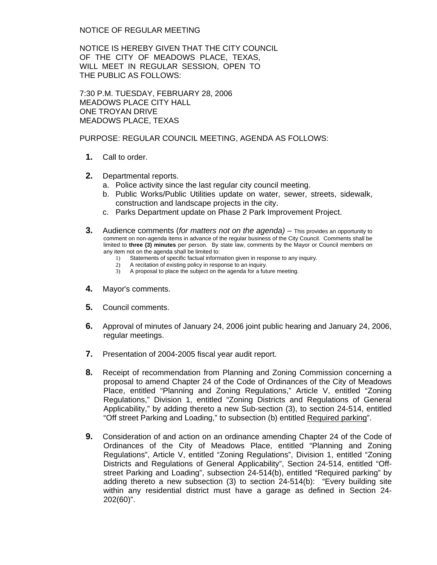NOTICE OF REGULAR MEETING

NOTICE IS HEREBY GIVEN THAT THE CITY COUNCIL OF THE CITY OF MEADOWS PLACE, TEXAS, WILL MEET IN REGULAR SESSION, OPEN TO THE PUBLIC AS FOLLOWS:

7:30 P.M. TUESDAY, FEBRUARY 28, 2006 MEADOWS PLACE CITY HALL ONE TROYAN DRIVE MEADOWS PLACE, TEXAS

PURPOSE: REGULAR COUNCIL MEETING, AGENDA AS FOLLOWS:

- **1.** Call to order.
- **2.** Departmental reports.
	- a. Police activity since the last regular city council meeting.
	- b. Public Works/Public Utilities update on water, sewer, streets, sidewalk, construction and landscape projects in the city.
	- c. Parks Department update on Phase 2 Park Improvement Project.
- **3.** Audience comments (*for matters not on the agenda)* This provides an opportunity to comment on non-agenda items in advance of the regular business of the City Council. Comments shall be limited to **three (3) minutes** per person. By state law, comments by the Mayor or Council members on any item not on the agenda shall be limited to:<br>
1) Statements of specific factual inform
	- Statements of specific factual information given in response to any inquiry.
	- 2) A recitation of existing policy in response to an inquiry.
	- 3) A proposal to place the subject on the agenda for a future meeting.
- **4.** Mayor's comments.
- **5.** Council comments.
- **6.** Approval of minutes of January 24, 2006 joint public hearing and January 24, 2006, regular meetings.
- **7.** Presentation of 2004-2005 fiscal year audit report.
- **8.** Receipt of recommendation from Planning and Zoning Commission concerning a proposal to amend Chapter 24 of the Code of Ordinances of the City of Meadows Place, entitled "Planning and Zoning Regulations," Article V, entitled "Zoning Regulations," Division 1, entitled "Zoning Districts and Regulations of General Applicability," by adding thereto a new Sub-section (3), to section 24-514, entitled "Off street Parking and Loading," to subsection (b) entitled Required parking".
- **9.** Consideration of and action on an ordinance amending Chapter 24 of the Code of Ordinances of the City of Meadows Place, entitled "Planning and Zoning Regulations", Article V, entitled "Zoning Regulations", Division 1, entitled "Zoning Districts and Regulations of General Applicability", Section 24-514, entitled "Offstreet Parking and Loading", subsection 24-514(b), entitled "Required parking" by adding thereto a new subsection (3) to section 24-514(b): "Every building site within any residential district must have a garage as defined in Section 24- 202(60)".